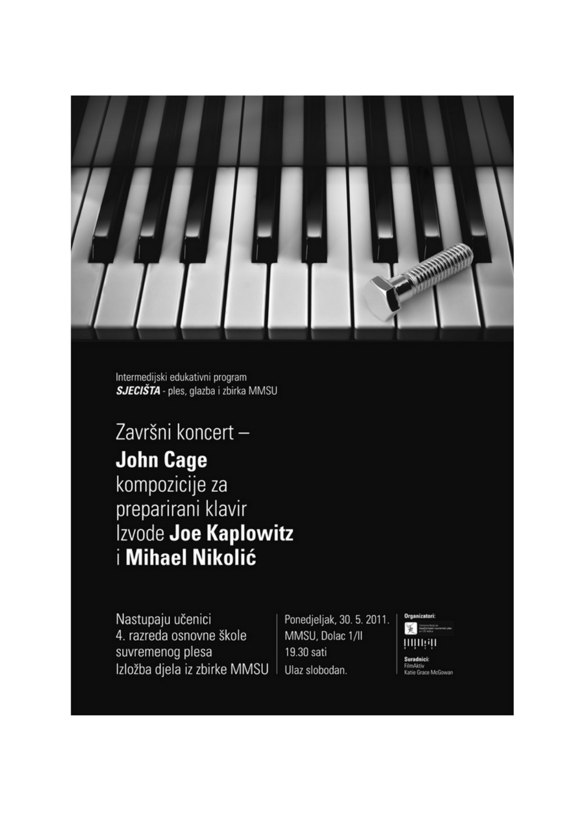

Intermedijski edukativni program SJECIŠTA - ples, glazba i zbirka MMSU

Završni koncert-**John Cage** kompozicije za preparirani klavir Izvode Joe Kaplowitz i Mihael Nikolić

Nastupaju učenici 4. razreda osnovne škole suvremenog plesa Izložba djela iz zbirke MMSU

Ponedjeljak, 30. 5. 2011. MMSU, Dolac 1/II 19.30 sati Ulaz slobodan.

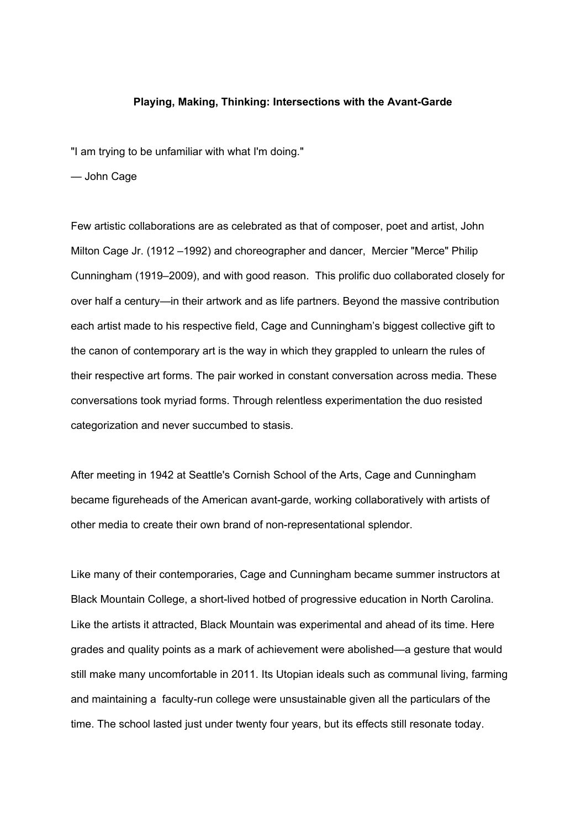## **Playing, Making, Thinking: Intersections with the Avant-Garde**

"I am trying to be unfamiliar with what I'm doing."

— John Cage

Few artistic collaborations are as celebrated as that of composer, poet and artist, John Milton Cage Jr. (1912 –1992) and choreographer and dancer, Mercier "Merce" Philip Cunningham (1919–2009), and with good reason. This prolific duo collaborated closely for over half a century—in their artwork and as life partners. Beyond the massive contribution each artist made to his respective field, Cage and Cunningham's biggest collective gift to the canon of contemporary art is the way in which they grappled to unlearn the rules of their respective art forms. The pair worked in constant conversation across media. These conversations took myriad forms. Through relentless experimentation the duo resisted categorization and never succumbed to stasis.

After meeting in 1942 at Seattle's Cornish School of the Arts, Cage and Cunningham became figureheads of the American avant-garde, working collaboratively with artists of other media to create their own brand of non-representational splendor.

Like many of their contemporaries, Cage and Cunningham became summer instructors at Black Mountain College, a short-lived hotbed of progressive education in North Carolina. Like the artists it attracted, Black Mountain was experimental and ahead of its time. Here grades and quality points as a mark of achievement were abolished—a gesture that would still make many uncomfortable in 2011. Its Utopian ideals such as communal living, farming and maintaining a faculty-run college were unsustainable given all the particulars of the time. The school lasted just under twenty four years, but its effects still resonate today.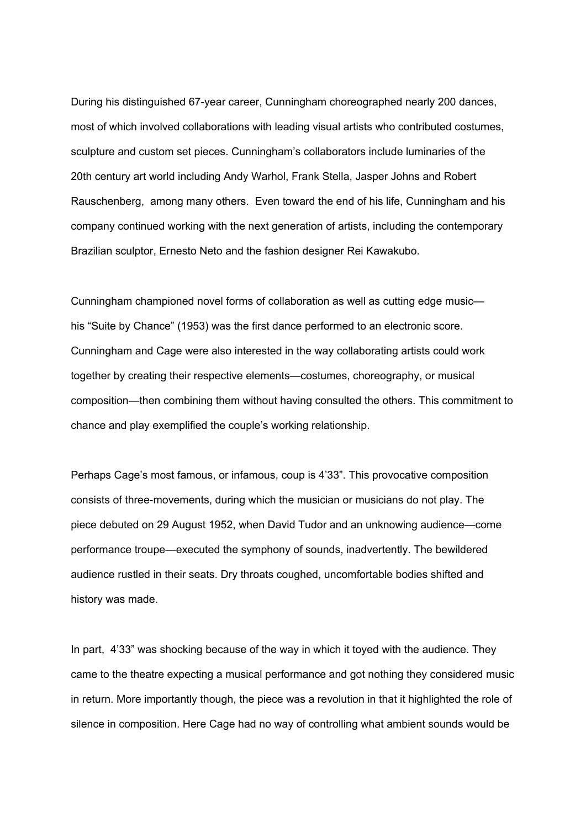During his distinguished 67-year career, Cunningham choreographed nearly 200 dances, most of which involved collaborations with leading visual artists who contributed costumes, sculpture and custom set pieces. Cunningham's collaborators include luminaries of the 20th century art world including Andy Warhol, Frank Stella, Jasper Johns and Robert Rauschenberg, among many others. Even toward the end of his life, Cunningham and his company continued working with the next generation of artists, including the contemporary Brazilian sculptor, Ernesto Neto and the fashion designer Rei Kawakubo.

Cunningham championed novel forms of collaboration as well as cutting edge music his "Suite by Chance" (1953) was the first dance performed to an electronic score. Cunningham and Cage were also interested in the way collaborating artists could work together by creating their respective elements—costumes, choreography, or musical composition—then combining them without having consulted the others. This commitment to chance and play exemplified the couple's working relationship.

Perhaps Cage's most famous, or infamous, coup is 4'33". This provocative composition consists of three-movements, during which the musician or musicians do not play. The piece debuted on 29 August 1952, when David Tudor and an unknowing audience—come performance troupe—executed the symphony of sounds, inadvertently. The bewildered audience rustled in their seats. Dry throats coughed, uncomfortable bodies shifted and history was made.

In part, 4'33" was shocking because of the way in which it toyed with the audience. They came to the theatre expecting a musical performance and got nothing they considered music in return. More importantly though, the piece was a revolution in that it highlighted the role of silence in composition. Here Cage had no way of controlling what ambient sounds would be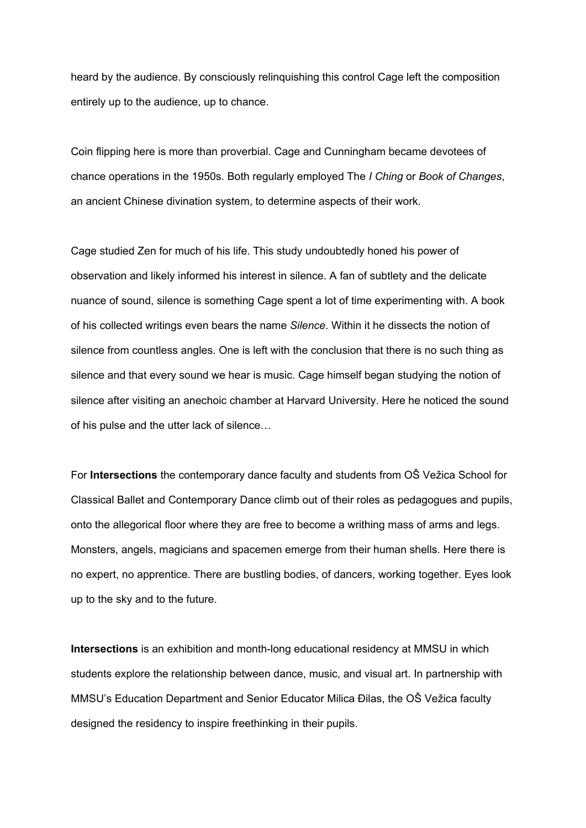heard by the audience. By consciously relinquishing this control Cage left the composition entirely up to the audience, up to chance.

Coin flipping here is more than proverbial. Cage and Cunningham became devotees of chance operations in the 1950s. Both regularly employed The *I Ching* or *Book of Changes*, an ancient Chinese divination system, to determine aspects of their work.

Cage studied Zen for much of his life. This study undoubtedly honed his power of observation and likely informed his interest in silence. A fan of subtlety and the delicate nuance of sound, silence is something Cage spent a lot of time experimenting with. A book of his collected writings even bears the name *Silence*. Within it he dissects the notion of silence from countless angles. One is left with the conclusion that there is no such thing as silence and that every sound we hear is music. Cage himself began studying the notion of silence after visiting an anechoic chamber at Harvard University. Here he noticed the sound of his pulse and the utter lack of silence…

For **Intersections** the contemporary dance faculty and students from OŠ Vežica School for Classical Ballet and Contemporary Dance climb out of their roles as pedagogues and pupils, onto the allegorical floor where they are free to become a writhing mass of arms and legs. Monsters, angels, magicians and spacemen emerge from their human shells. Here there is no expert, no apprentice. There are bustling bodies, of dancers, working together. Eyes look up to the sky and to the future.

**Intersections** is an exhibition and month-long educational residency at MMSU in which students explore the relationship between dance, music, and visual art. In partnership with MMSU's Education Department and Senior Educator Milica Đilas, the OŠ Vežica faculty designed the residency to inspire freethinking in their pupils.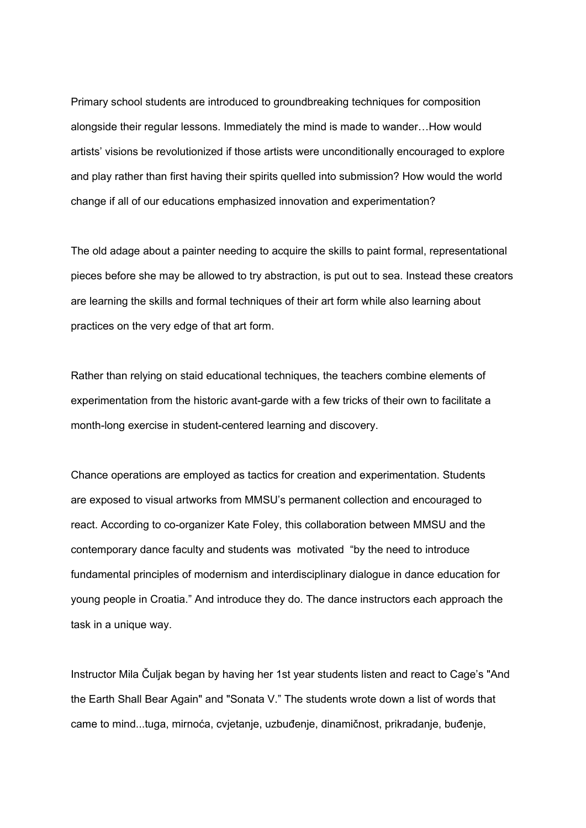Primary school students are introduced to groundbreaking techniques for composition alongside their regular lessons. Immediately the mind is made to wander…How would artists' visions be revolutionized if those artists were unconditionally encouraged to explore and play rather than first having their spirits quelled into submission? How would the world change if all of our educations emphasized innovation and experimentation?

The old adage about a painter needing to acquire the skills to paint formal, representational pieces before she may be allowed to try abstraction, is put out to sea. Instead these creators are learning the skills and formal techniques of their art form while also learning about practices on the very edge of that art form.

Rather than relying on staid educational techniques, the teachers combine elements of experimentation from the historic avant-garde with a few tricks of their own to facilitate a month-long exercise in student-centered learning and discovery.

Chance operations are employed as tactics for creation and experimentation. Students are exposed to visual artworks from MMSU's permanent collection and encouraged to react. According to co-organizer Kate Foley, this collaboration between MMSU and the contemporary dance faculty and students was motivated "by the need to introduce fundamental principles of modernism and interdisciplinary dialogue in dance education for young people in Croatia." And introduce they do. The dance instructors each approach the task in a unique way.

Instructor Mila Čuljak began by having her 1st year students listen and react to Cage's "And the Earth Shall Bear Again" and "Sonata V." The students wrote down a list of words that came to mind...tuga, mirnoća, cvjetanje, uzbuđenje, dinamičnost, prikradanje, buđenje,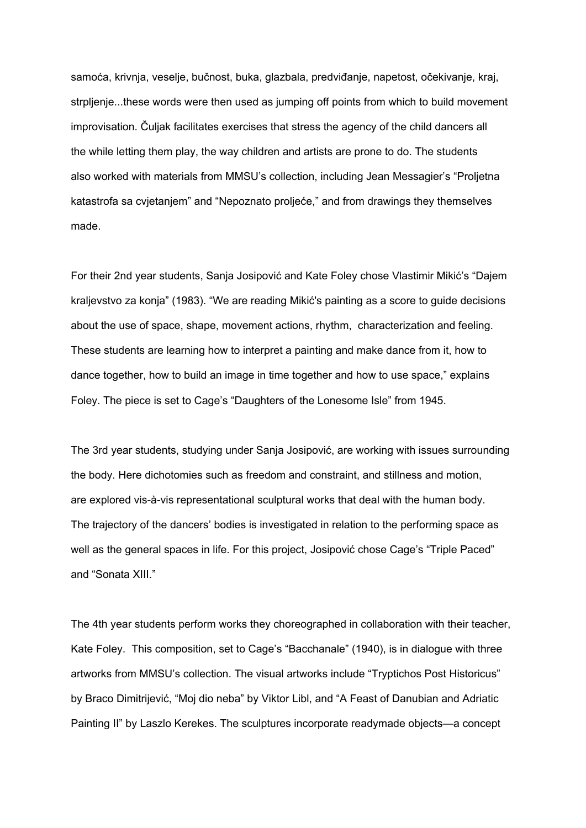samoća, krivnja, veselje, bučnost, buka, glazbala, predviđanje, napetost, očekivanje, kraj, strpljenje...these words were then used as jumping off points from which to build movement improvisation. Čuljak facilitates exercises that stress the agency of the child dancers all the while letting them play, the way children and artists are prone to do. The students also worked with materials from MMSU's collection, including Jean Messagier's "Proljetna katastrofa sa cvjetanjem" and "Nepoznato proljeće," and from drawings they themselves made.

For their 2nd year students, Sanja Josipović and Kate Foley chose Vlastimir Mikić's "Dajem kraljevstvo za konja" (1983). "We are reading Mikić's painting as a score to guide decisions about the use of space, shape, movement actions, rhythm, characterization and feeling. These students are learning how to interpret a painting and make dance from it, how to dance together, how to build an image in time together and how to use space," explains Foley. The piece is set to Cage's "Daughters of the Lonesome Isle" from 1945.

The 3rd year students, studying under Sanja Josipović, are working with issues surrounding the body. Here dichotomies such as freedom and constraint, and stillness and motion, are explored vis-à-vis representational sculptural works that deal with the human body. The trajectory of the dancers' bodies is investigated in relation to the performing space as well as the general spaces in life. For this project, Josipović chose Cage's "Triple Paced" and "Sonata XIII."

The 4th year students perform works they choreographed in collaboration with their teacher, Kate Foley. This composition, set to Cage's "Bacchanale" (1940), is in dialogue with three artworks from MMSU's collection. The visual artworks include "Tryptichos Post Historicus" by Braco Dimitrijević, "Moj dio neba" by Viktor Libl, and "A Feast of Danubian and Adriatic Painting II" by Laszlo Kerekes. The sculptures incorporate readymade objects—a concept